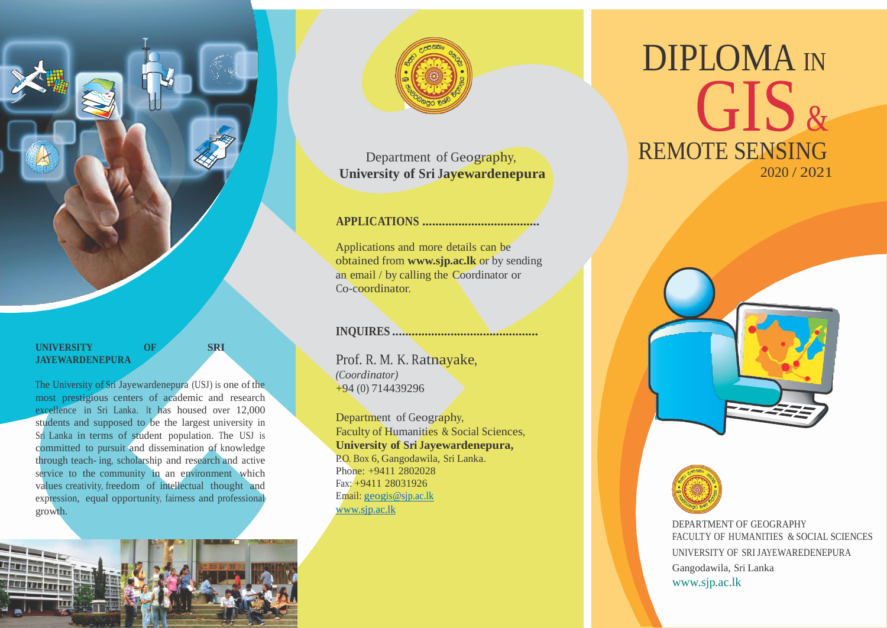

### **UNIVERSITY OF SRI JAYEWARDENEPURA**

The University of Sri Jayewardenepura (USJ) is one of the most prestigious centers of academic and research excellence in Sri Lanka. It has housed over 12,000 students and supposed to be the largest university in Sri Lanka in terms of student population. The USJ is committed to pursuit and dissemination of knowledge through teach- ing, scholarship and research and active service to the community in an environment which values creativity, freedom of intellectual thought and expression, equal opportunity, fairness and professional growth.



Department of Geography, <sup>λ</sup> **University of Sri Jayewardenepura**

# **APPLICATIONS ....................................**

Applications and more details can be obtained from **[www.sjp.ac.lk](http://www.sjp.ac.lk/)** or by sending an email / by calling the Coordinator or Co-coordinator.

**INQUIRES .............................................**

Prof. R. M. K. Ratnayake, *(Coordinator)* +94 (0) 714439296

Department of Geography, Faculty of Humanities & Social Sciences, **University of Sri Jayewardenepura,**  P.O. Box 6, Gangodawila, Sri Lanka. Phone: +9411 2802028 Fax: +9411 28031926 Email: [geogis@sjp.ac.lk](mailto:geogis@sjp.ac.lk) [www.sjp.ac.lk](http://www.sjp.ac.lk/)

# DIPLOMA IN GIS & REMOTE SENSING 2020 / 2021





DEPARTMENT OF GEOGRAPHY FACULTY OF HUMANITIES & SOCIAL SCIENCES UNIVERSITY OF SRI JAYEWAREDENEPURA Gangodawila, Sri Lanka [www.sjp.ac.lk](http://www.sjp.ac.lk/)